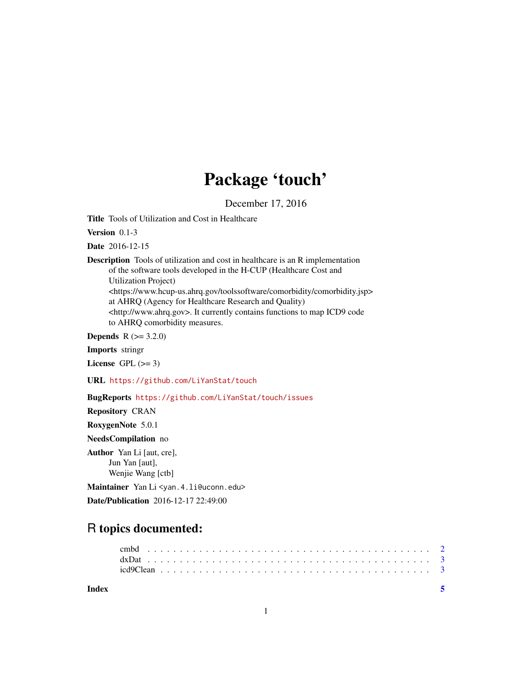# Package 'touch'

December 17, 2016

Title Tools of Utilization and Cost in Healthcare

Version 0.1-3

Date 2016-12-15

Description Tools of utilization and cost in healthcare is an R implementation of the software tools developed in the H-CUP (Healthcare Cost and Utilization Project) <https://www.hcup-us.ahrq.gov/toolssoftware/comorbidity/comorbidity.jsp> at AHRQ (Agency for Healthcare Research and Quality)

<http://www.ahrq.gov>. It currently contains functions to map ICD9 code to AHRQ comorbidity measures.

**Depends** R  $(>= 3.2.0)$ 

Imports stringr

License GPL  $(>= 3)$ 

URL <https://github.com/LiYanStat/touch>

BugReports <https://github.com/LiYanStat/touch/issues>

Repository CRAN

RoxygenNote 5.0.1

NeedsCompilation no

Author Yan Li [aut, cre], Jun Yan [aut], Wenjie Wang [ctb]

Maintainer Yan Li <yan. 4. li@uconn. edu>

Date/Publication 2016-12-17 22:49:00

## R topics documented:

| Index |  |  |  |  |  |  |  |  |  |  |  |  |  |  |  |  |  |  |  |  |  |  |
|-------|--|--|--|--|--|--|--|--|--|--|--|--|--|--|--|--|--|--|--|--|--|--|
|       |  |  |  |  |  |  |  |  |  |  |  |  |  |  |  |  |  |  |  |  |  |  |
|       |  |  |  |  |  |  |  |  |  |  |  |  |  |  |  |  |  |  |  |  |  |  |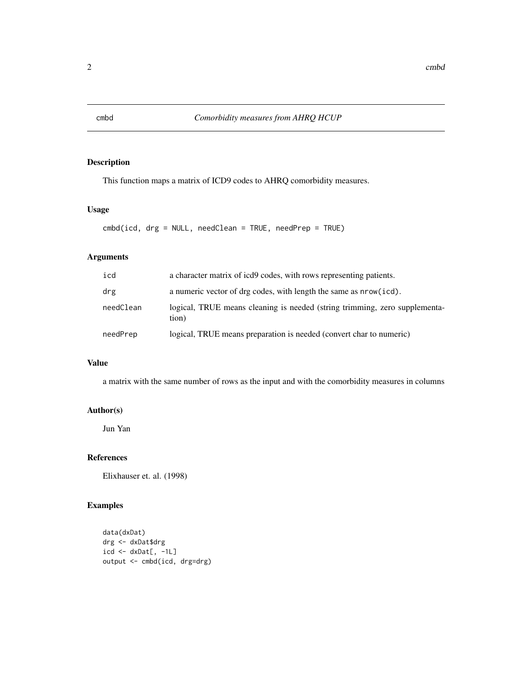<span id="page-1-0"></span>

#### Description

This function maps a matrix of ICD9 codes to AHRQ comorbidity measures.

#### Usage

cmbd(icd, drg = NULL, needClean = TRUE, needPrep = TRUE)

#### Arguments

| icd       | a character matrix of icd9 codes, with rows representing patients.                  |
|-----------|-------------------------------------------------------------------------------------|
| drg       | a numeric vector of drg codes, with length the same as nrow (icd).                  |
| needClean | logical, TRUE means cleaning is needed (string trimming, zero supplementa-<br>tion) |
| needPrep  | logical, TRUE means preparation is needed (convert char to numeric)                 |

#### Value

a matrix with the same number of rows as the input and with the comorbidity measures in columns

#### Author(s)

Jun Yan

#### References

Elixhauser et. al. (1998)

#### Examples

```
data(dxDat)
drg <- dxDat$drg
icd \leftarrow dxDat[, -1L]output <- cmbd(icd, drg=drg)
```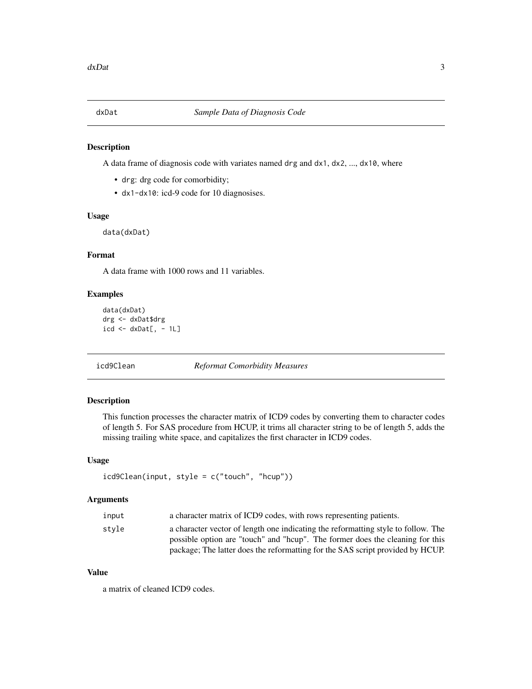<span id="page-2-0"></span>

#### Description

A data frame of diagnosis code with variates named drg and dx1, dx2, ..., dx10, where

- drg: drg code for comorbidity;
- dx1-dx10: icd-9 code for 10 diagnosises.

#### Usage

data(dxDat)

#### Format

A data frame with 1000 rows and 11 variables.

#### Examples

```
data(dxDat)
drg <- dxDat$drg
icd \leq d \times Data[, -1L]
```
#### icd9Clean *Reformat Comorbidity Measures*

#### Description

This function processes the character matrix of ICD9 codes by converting them to character codes of length 5. For SAS procedure from HCUP, it trims all character string to be of length 5, adds the missing trailing white space, and capitalizes the first character in ICD9 codes.

#### Usage

```
icd9Clean(input, style = c("touch", "hcup"))
```
#### Arguments

| input | a character matrix of ICD9 codes, with rows representing patients.                |
|-------|-----------------------------------------------------------------------------------|
| stvle | a character vector of length one indicating the reformatting style to follow. The |
|       | possible option are "touch" and "heup". The former does the cleaning for this     |
|       | package; The latter does the reformatting for the SAS script provided by HCUP.    |

#### Value

a matrix of cleaned ICD9 codes.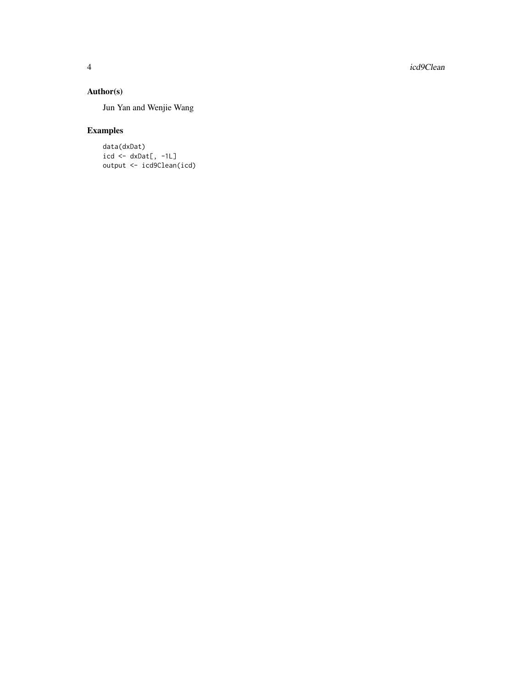4 icd9Clean and the contract of the contract of the contract of the contract of the contract of the contract of the contract of the contract of the contract of the contract of the contract of the contract of the contract o

#### Author(s)

Jun Yan and Wenjie Wang

### Examples

data(dxDat)  $icd \leftarrow dx$ Dat $[, -1L]$ output <- icd9Clean(icd)